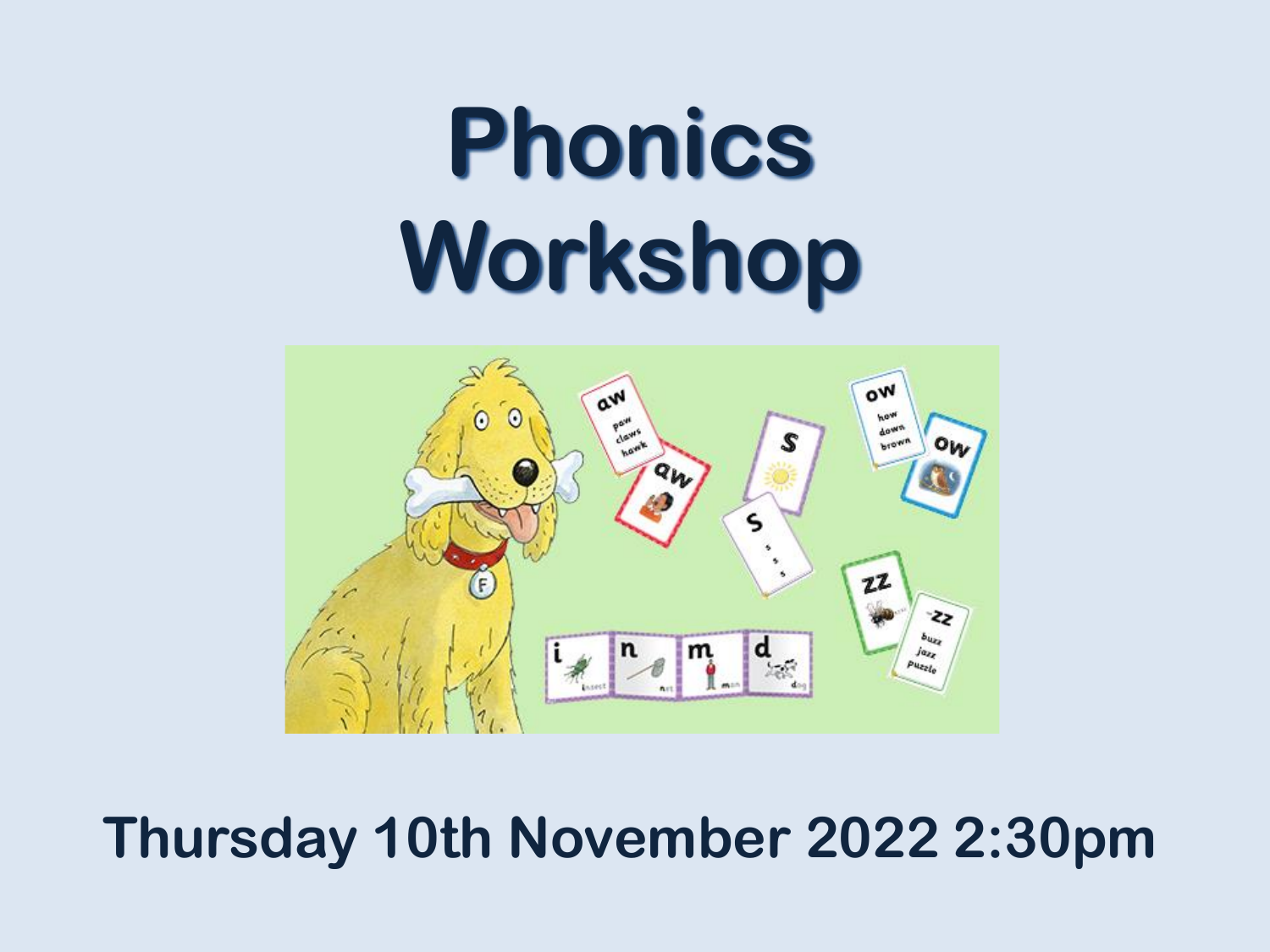# **Phonics Workshop**



#### **Thursday 10th November 2022 2:30pm**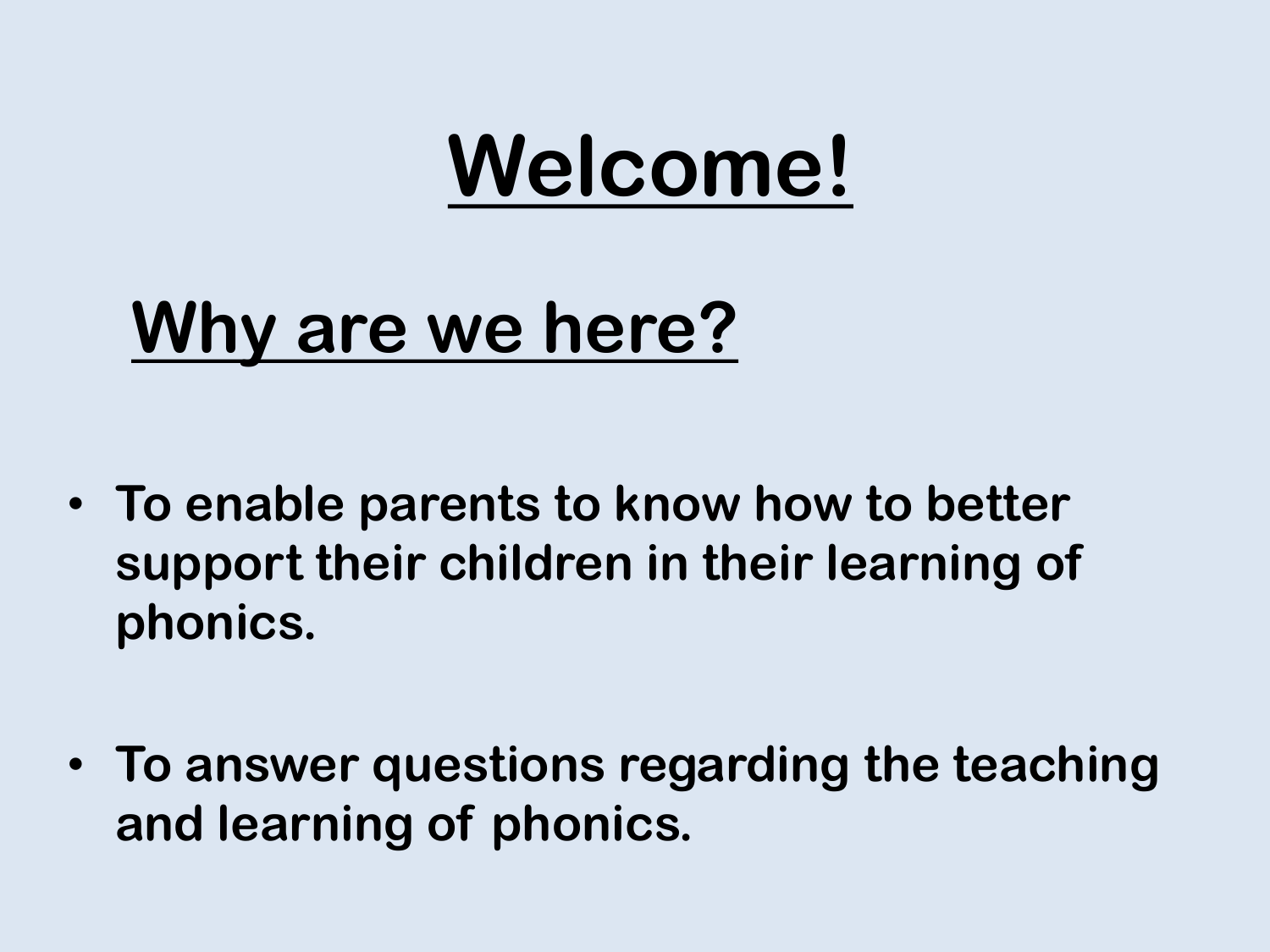## **Welcome!**

## **Why are we here?**

- **To enable parents to know how to better support their children in their learning of phonics.**
- **To answer questions regarding the teaching and learning of phonics.**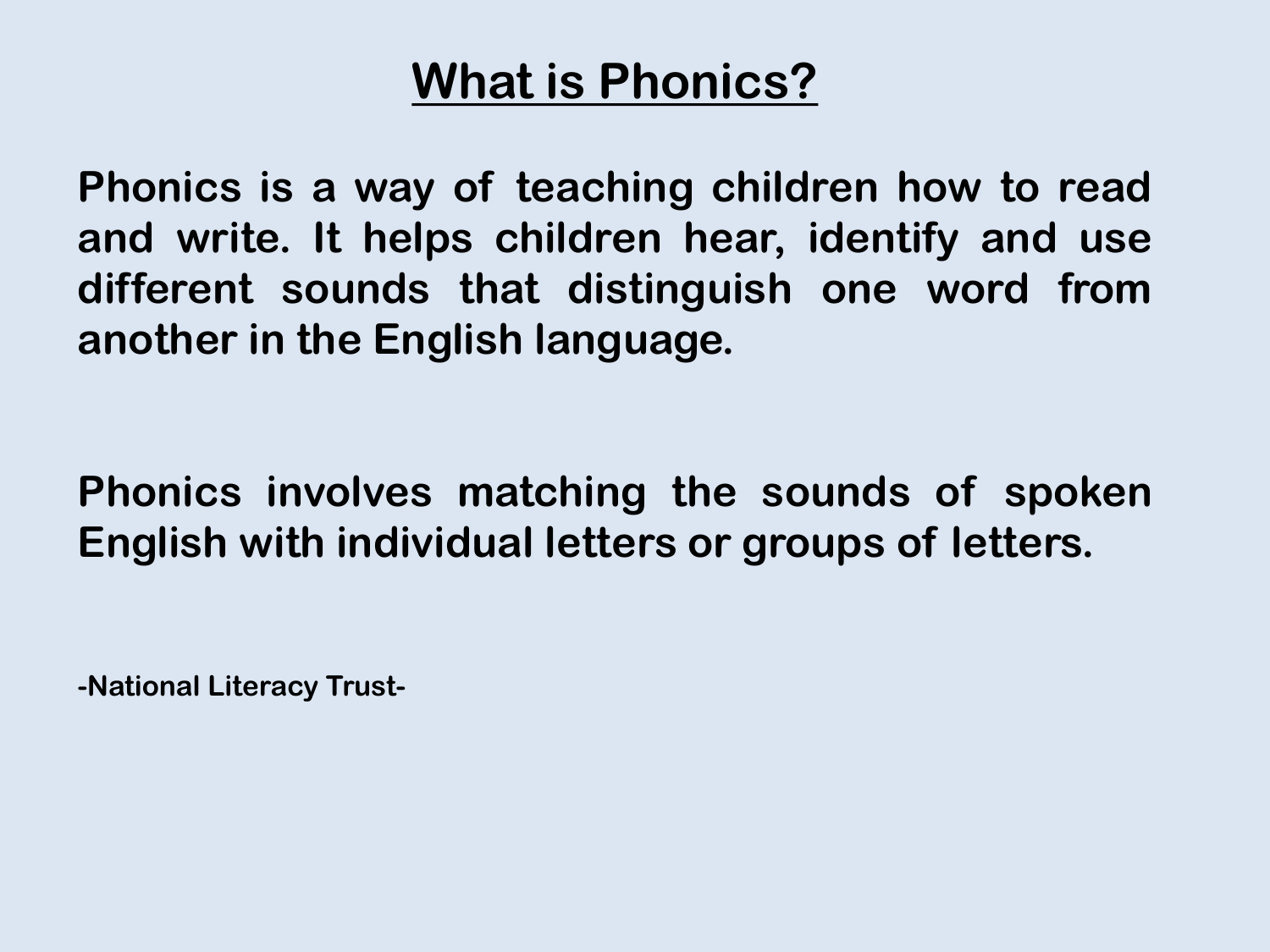#### **What is Phonics?**

**Phonics is a way of teaching children how to read and write. It helps children hear, identify and use different sounds that distinguish one word from another in the English language.**

**Phonics involves matching the sounds of spoken English with individual letters or groups of letters.**

**-National Literacy Trust-**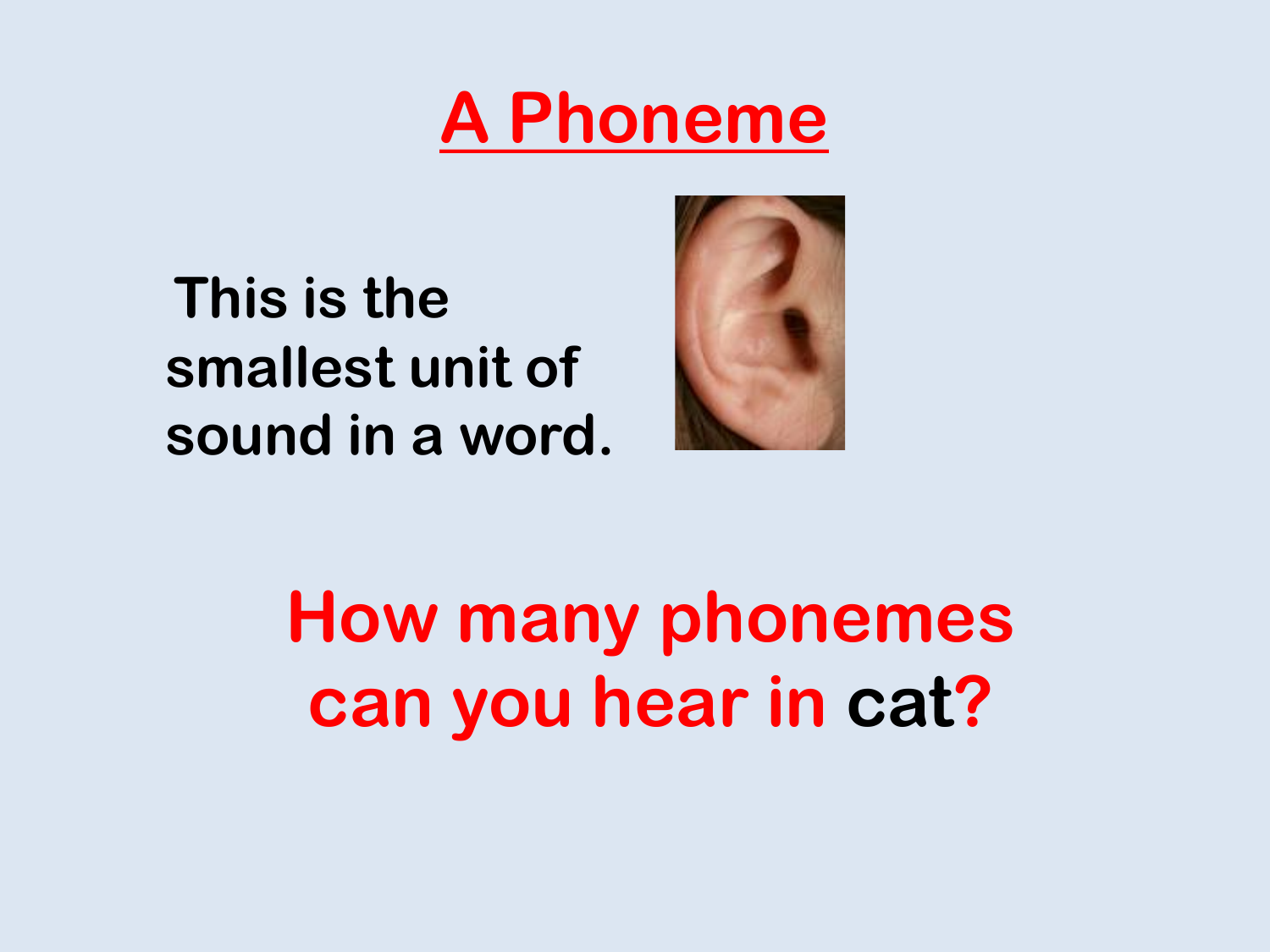## **A Phoneme**

**This is the smallest unit of sound in a word.**



**How many phonemes can you hear in cat?**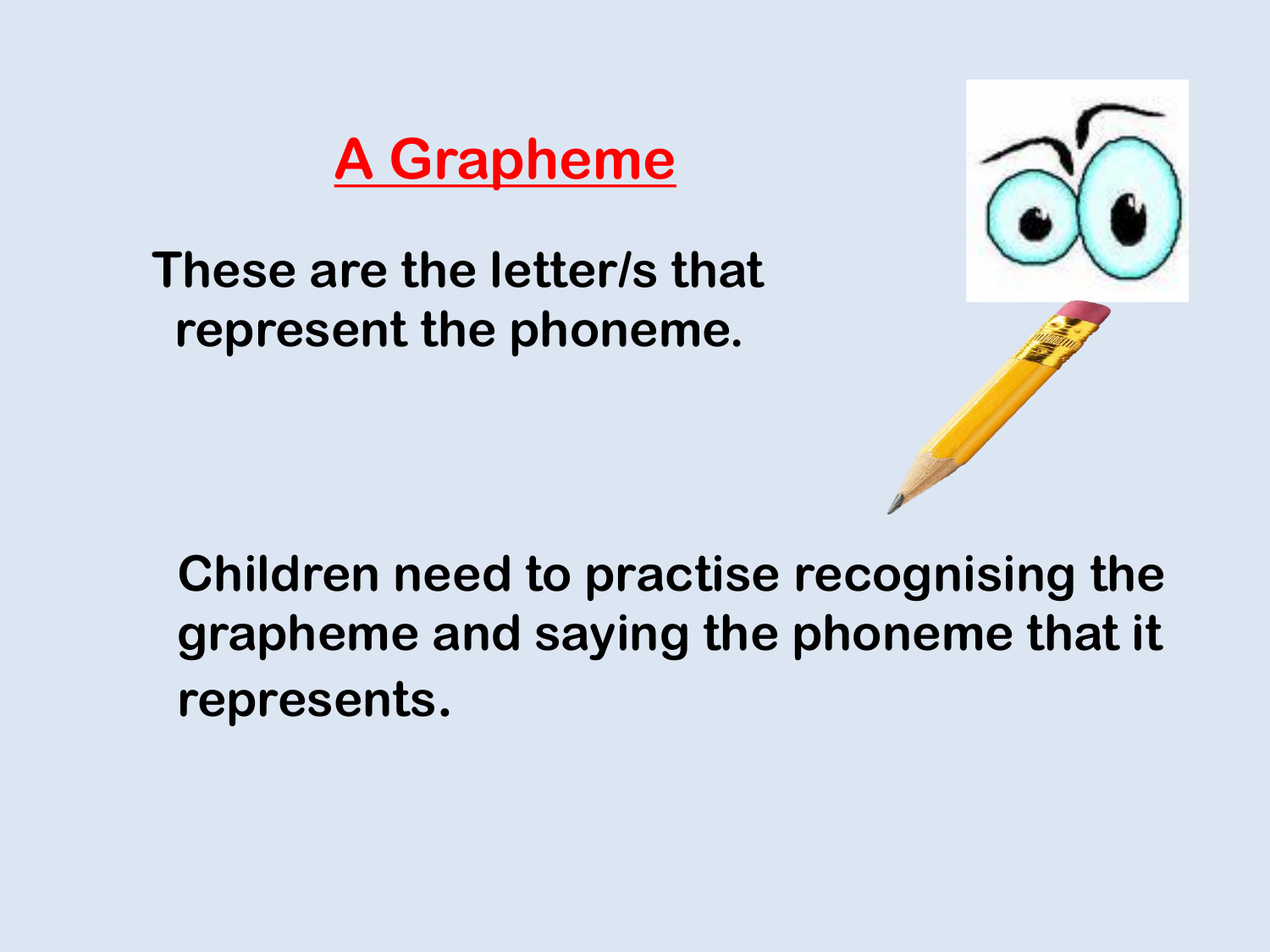#### **A Grapheme**

**These are the letter/s that represent the phoneme.**



**Children need to practise recognising the grapheme and saying the phoneme that it represents.**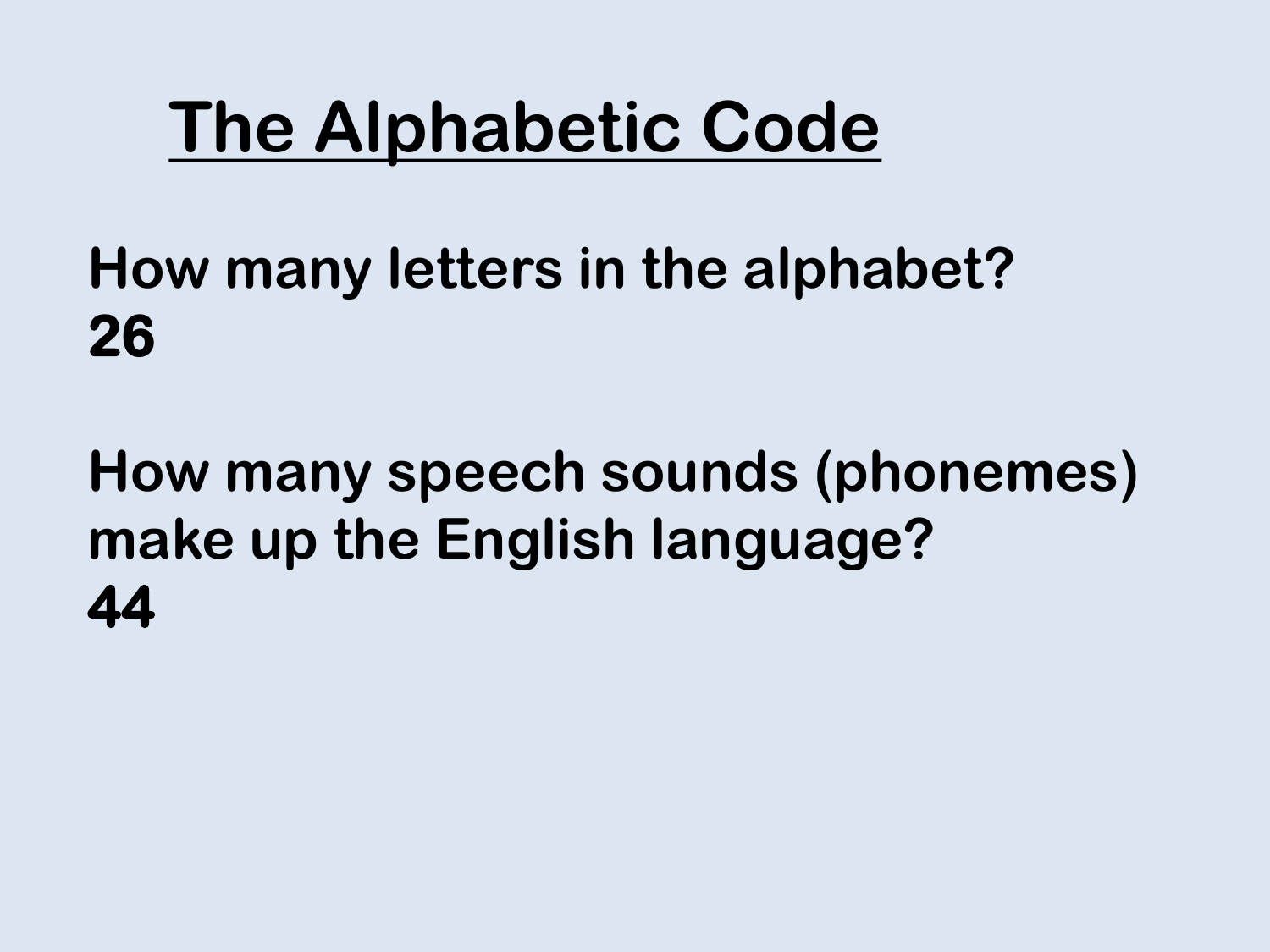## **The Alphabetic Code**

**How many letters in the alphabet? 26**

**How many speech sounds (phonemes) make up the English language? 44**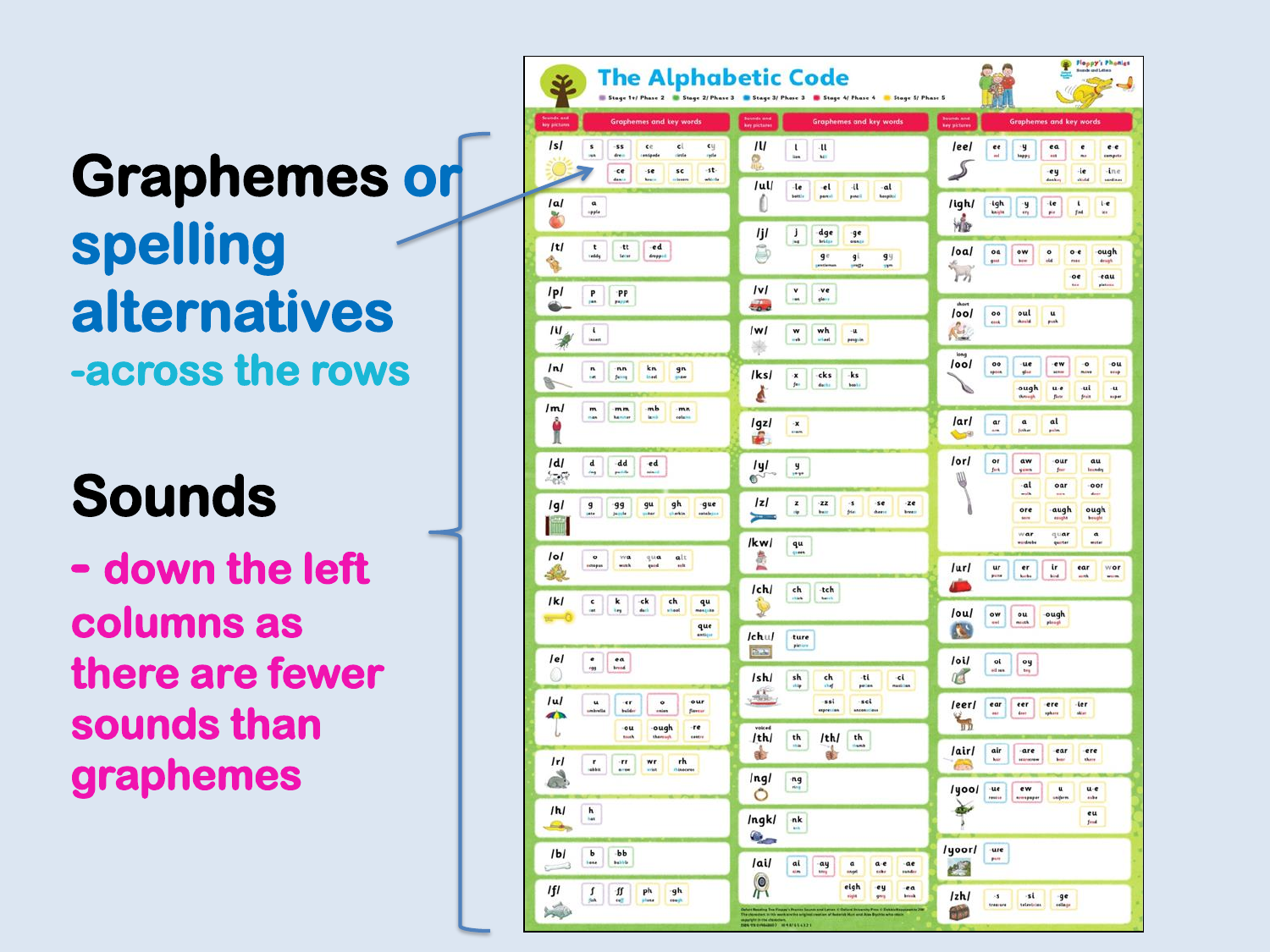### **Graphemes or spelling alternatives -across the rows**

### **Sounds**

**- down the left columns as there are fewer sounds than graphemes**

| <b>The Alphabetic Code</b>                                                                                                                            | Stage 1+/ Phase 2 3 Stage 2/ Phase 3 3 Stage 3/ Phase 3 3 Stage 4/ Phase 4 3 Stage 5/ Phase 5                                                | Floppy's Phonies<br>balge of<br>90                                                                                                                                                                                                                                                                                                                                                                                                                                                                |
|-------------------------------------------------------------------------------------------------------------------------------------------------------|----------------------------------------------------------------------------------------------------------------------------------------------|---------------------------------------------------------------------------------------------------------------------------------------------------------------------------------------------------------------------------------------------------------------------------------------------------------------------------------------------------------------------------------------------------------------------------------------------------------------------------------------------------|
| <b>Graphemes and key words</b><br> s <br>s<br><br>$-$ ss<br>cy<br>ce<br>cl<br>dress<br><b>istripode</b><br>inte<br>rade                               | Spunds and<br>key pictures<br><b>Graphemes and key words</b><br>/U<br>$1 - 11$<br>$\mathbf{M}$<br>o                                          | Squinds and<br>Ney pictures<br>Graphemes and key words<br>leel<br>$\frac{ee}{m}$<br>$\frac{9}{1475}$<br>ea<br>$e-e$<br>e<br>$\cdots$<br><br>compute                                                                                                                                                                                                                                                                                                                                               |
| -st-<br>ce<br>$-5e$<br>$s$ c<br>dance<br>whiche<br><b>Second</b><br> a <br>$\overset{\alpha}{\underset{\scriptscriptstyle\gamma\neq 0}{\ldots}}$<br>× | /ul/<br>$-1e$<br>$\bullet$<br>$\mathbf{d}$<br>$-al$<br>posel<br><b>hospital</b><br>betti-<br>panel<br>Û                                      | $\mathcal{I}$<br>ie<br>$-$ ine<br>ey<br>dealer.<br><b>Wide</b><br>serdinas<br>/igh/<br>igh<br>-ie<br>t<br>i e<br>$\frac{9}{2}$<br>$\mu\mu$<br>$f$ and<br>in.                                                                                                                                                                                                                                                                                                                                      |
| t <br>-tt<br>$\hspace{0.1em}\bullet$ d<br>t<br>.<br>Hiddy<br>dropped                                                                                  | ljl<br>J<br>dge<br>ge<br>ing.<br><b>Bridge</b><br><b>GIRACC</b><br>Ô<br>q e<br>$g^{\parallel}$<br>99<br>single<br>protlema<br>in 1           | Чb<br> oa <br>oa<br>ow<br>ough<br>$\frac{1}{16}$<br>$\mathbf{o} \cdot \mathbf{e}$<br>bow.<br>me.<br>drugh                                                                                                                                                                                                                                                                                                                                                                                         |
| p <br>P.<br>PP<br>payers                                                                                                                              | v <br>$\frac{v}{u}$<br>$-ve$<br>glass<br><b>Symp</b>                                                                                         | 锅<br>eau<br>oe<br>short<br>/ool<br>$\frac{00}{100}$<br>oul<br>$\frac{u}{\mu}$<br>should                                                                                                                                                                                                                                                                                                                                                                                                           |
| /i/<br>$\mathbf{I}$<br><br>帚<br>ln(<br>kn<br>$\mathfrak n$<br>nn<br>$\frac{9^n}{n}$                                                                   | IwI<br>wh<br>$\frac{w}{4}$<br>$-u$<br>uriaul.<br>progrim<br>楽                                                                                | $\mathbf{c}$<br>long<br>1001<br>00<br>$-ue$<br>ew<br>$\frac{1}{2}$<br>$-0.01$<br><b>HOIA</b><br>plus<br><b>MPH</b><br><b>Hill</b>                                                                                                                                                                                                                                                                                                                                                                 |
| kned<br><b>fung</b><br>a.<br>/m/<br>mb<br>$\mathfrak m$<br>mm<br>-mn<br><b>Nemmer</b><br><b>Sport</b><br>column<br><b>CAN</b>                         | /ks/<br>-ks<br>-cks<br>$\mathbf{x}$<br>f(x)<br>della<br>books<br>Å<br><i>Igzl</i><br>$\mathbf{x}$                                            | ough<br>-ui<br>s<br>$u-e$<br>$\mathbf{u}$<br>they<br>flots.<br><b>Stain</b><br>siyar<br>/ar/<br>al<br>αr<br>$\alpha$                                                                                                                                                                                                                                                                                                                                                                              |
| İ<br>/d<br>$\,$ d<br>dd<br>ed<br>pande<br>rain-i<br>$\mathcal{L}_{\mathcal{B}}(\mathbb{R})$                                                           | <b>Eram</b><br>d.<br>/y/<br>$\frac{9}{100}$<br>$\bullet$                                                                                     | in.<br>friha<br>polin<br><b>Contract</b><br>$I$ or $I$<br>or<br>aw<br>our<br>au<br>fork<br>leundry<br>yims<br>feer<br>Ш                                                                                                                                                                                                                                                                                                                                                                           |
| lgl<br>gh<br>$\overline{9}$<br>99<br>gu<br>gue<br><b>India</b>                                                                                        | z <br>$\mathbf{z}$<br>$\mathbf{z}$<br>$\cdot$ s<br>-se<br>$z$ e<br>frie:<br>cheese<br>breeze<br>÷<br>bert<br>$\equiv$                        | $-al$<br>oar<br>oor<br>mia.<br>days.<br>sais<br>ore<br>augh<br>ough<br>esuph<br>bought                                                                                                                                                                                                                                                                                                                                                                                                            |
| o <br>alt<br>$\circ$<br>wa<br>qua<br>ectopas<br>mink<br>mlt<br>quid<br>食                                                                              | /kw/<br>qu<br>sports.<br>急                                                                                                                   | war<br>quar<br>$\mathfrak a$<br>woter<br>models<br>quirter<br>/ur/<br>ur<br>$\mathbf{e}\mathbf{r}$<br>i٢<br>ear<br>wor<br>passe<br><b>horbs</b><br><b>Bird</b><br>mek<br><b>With</b>                                                                                                                                                                                                                                                                                                              |
| k <br>$\frac{c}{m}$<br>$\bf k$<br>ck<br>ch<br>qu<br>iej.<br>setçilir.<br>que                                                                          | /ch/<br>${\sf ch}$<br>-tch<br><b>kassis</b><br>$1$ chu $1$<br>ture                                                                           | /ou/<br>ough<br>ow<br>ou<br>int<br>minth<br>plaugh<br><b>KG</b>                                                                                                                                                                                                                                                                                                                                                                                                                                   |
| lel<br>$\begin{array}{c c c} \mathbf{e} & \mathbf{e} \mathbf{a} \\ \hline \mathbf{e} & \mathbf{h} \mathbf{e} \mathbf{a} \end{array}$<br>⋒             | pleton<br><b>EXT</b><br>/sh/<br>${\sf sh}$<br>ch<br>-ti<br>$-\epsilon$ i<br>dile<br>chaf.<br>patien<br>masilian                              | /oi/<br>oi<br>oy<br>oil can<br>tra<br>a                                                                                                                                                                                                                                                                                                                                                                                                                                                           |
| /u/<br>our<br>$\mathbf u$<br>er<br>$\circ$<br>build-<br>shortla<br>flavens<br>$\mathcal{A}$<br>ough<br>ou<br>-re<br>ı<br>truck<br>then<br>course      | $\frac{\sqrt{N}}{2\Delta x}$<br>-ssi<br>$-$ sci<br>expression<br><b>ARCHAUTION</b><br>voiced<br>/th/<br>th<br>/th/<br>th                     | /eer/<br>ear<br>eer<br>ere<br>-ler<br>dent<br>sphore<br>skier.<br>$\frac{1}{2}$                                                                                                                                                                                                                                                                                                                                                                                                                   |
| r <br>r <sub>h</sub><br>$\cdot$ rr<br>wr<br>$\frac{r}{\sin \alpha}$<br>$-1$<br>missouries<br>wist<br>٨                                                | $\overline{1}$<br><b>Inch</b><br>$\frac{1}{2}$<br>ab<br>lngl<br>ng<br>ring                                                                   | /air/<br>air<br>are<br>ear<br>ere<br>kein<br>hear.<br>$_{\rm{down}}$<br><br><b>ARCHITECT</b><br>/yoo/<br>·ue<br>ew<br>$\mathbf{u}$<br>u-e                                                                                                                                                                                                                                                                                                                                                         |
| /h/<br>h.<br>£.                                                                                                                                       | Ô<br>Ingk/<br>nk<br>in.<br>0,                                                                                                                | ode<br>accepaper<br>sağere<br>$\geqslant$<br>eu<br>fend                                                                                                                                                                                                                                                                                                                                                                                                                                           |
| $-bb$<br>I <sub>b</sub> I<br>ь<br><b>Lens</b><br><b>builde</b><br>⊏<br>IfI<br>$\tilde{\mathbf{t}}$<br>$\frac{f}{m}$<br>ph<br>gh                       | /ai/<br>al<br>$\frac{ay}{y}$<br>$\mathfrak a$<br>a e<br>ae<br>mgel<br>trks<br><b>sunder</b><br>O)<br>eigh<br>ey<br>ea<br>$\sqrt{1}$<br>brink | /yoor/<br>ure<br>pore<br>四                                                                                                                                                                                                                                                                                                                                                                                                                                                                        |
| cresh.<br>x                                                                                                                                           | vight<br>gery<br>The photosys in this work are the angiest<br>manifest in the characters,<br>then was created and 3 = 10 4 A 7 6 5 4 3 2 1   | /zh<br>$\begin{array}{ c c c c c }\hline &\textbf{s} & \textbf{s} & \textbf{g} \\ \hline \textbf{m}{\textbf{s}} & \textbf{m}{\textbf{s}} & \textbf{m}{\textbf{s}} \\ \hline \textbf{m}{\textbf{s}} & \textbf{m}{\textbf{s}} & \textbf{m}{\textbf{s}} \\ \hline \textbf{m}{\textbf{s}} & \textbf{m}{\textbf{s}} & \textbf{m}{\textbf{s}} \\ \hline \textbf{m}{\textbf{s}} & \textbf{m}{\textbf{s}} & \textbf{m}{\textbf{s}} \\ \hline \textbf{m}{\textbf{s}} & \textbf{m}{\textbf{s$<br><b>Hyd</b> |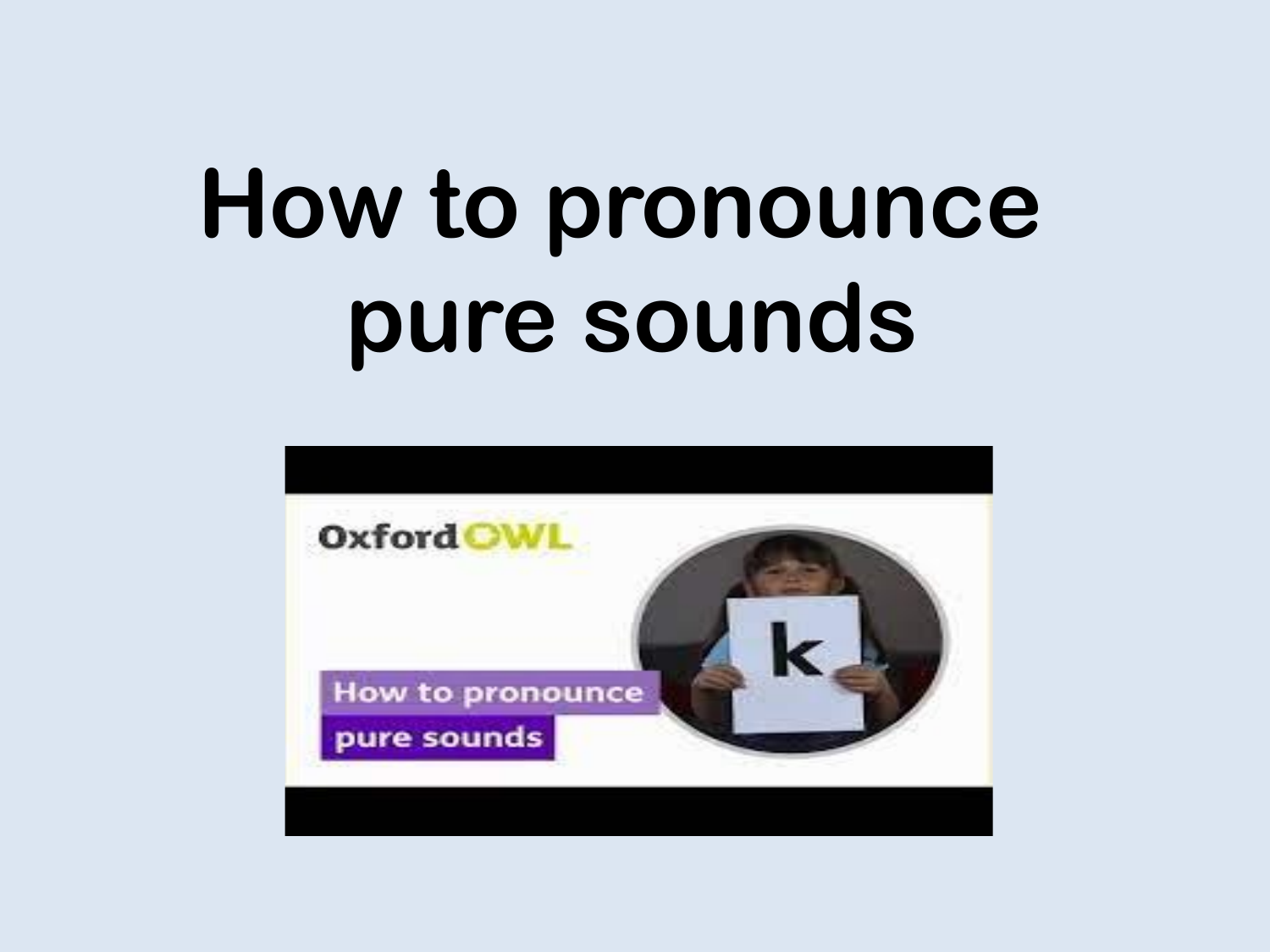# **How to pronounce pure sounds**

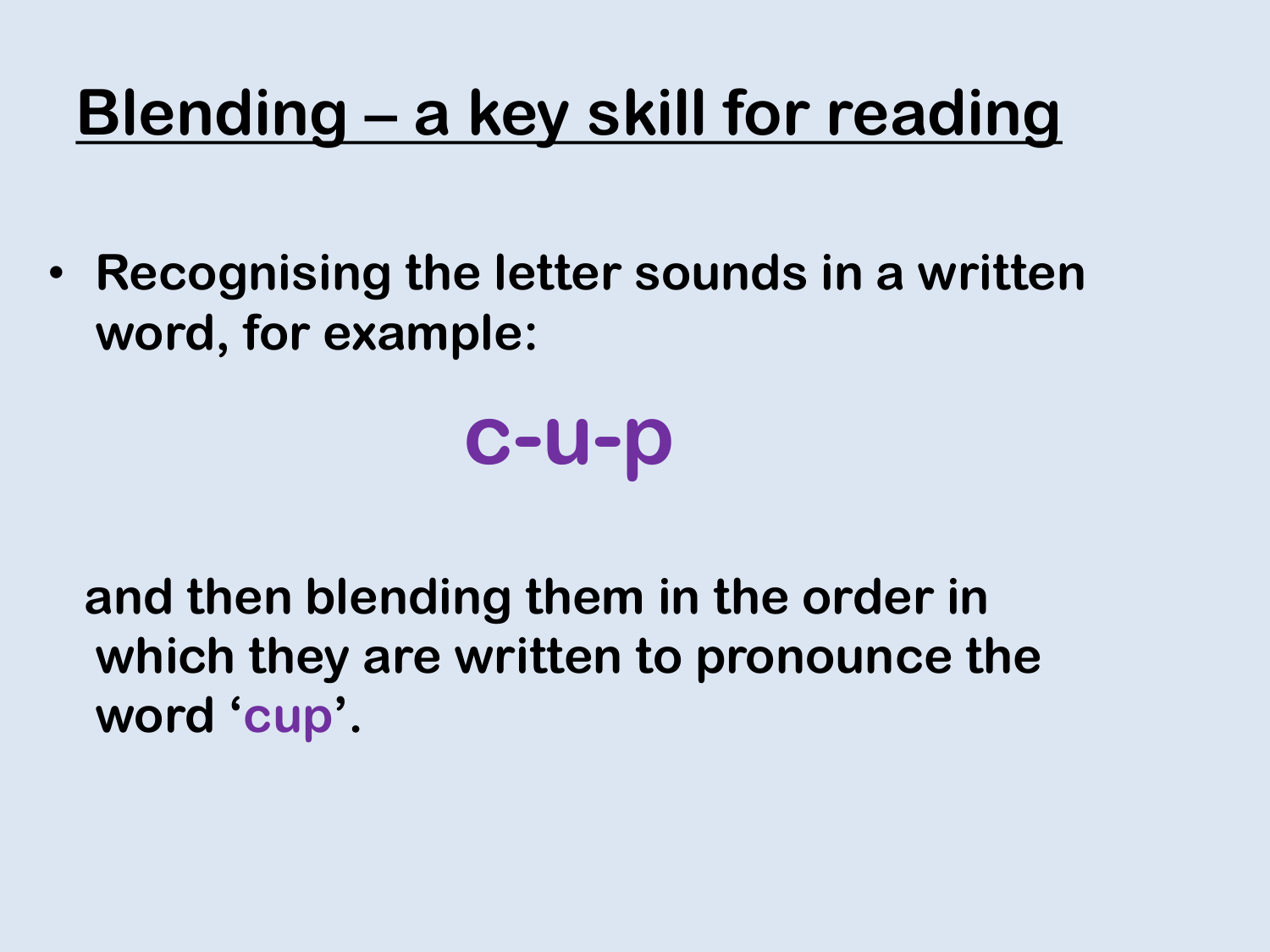## **Blending – a key skill for reading**

• **Recognising the letter sounds in a written word, for example:**

## **c-u-p**

**and then blending them in the order in which they are written to pronounce the word 'cup'.**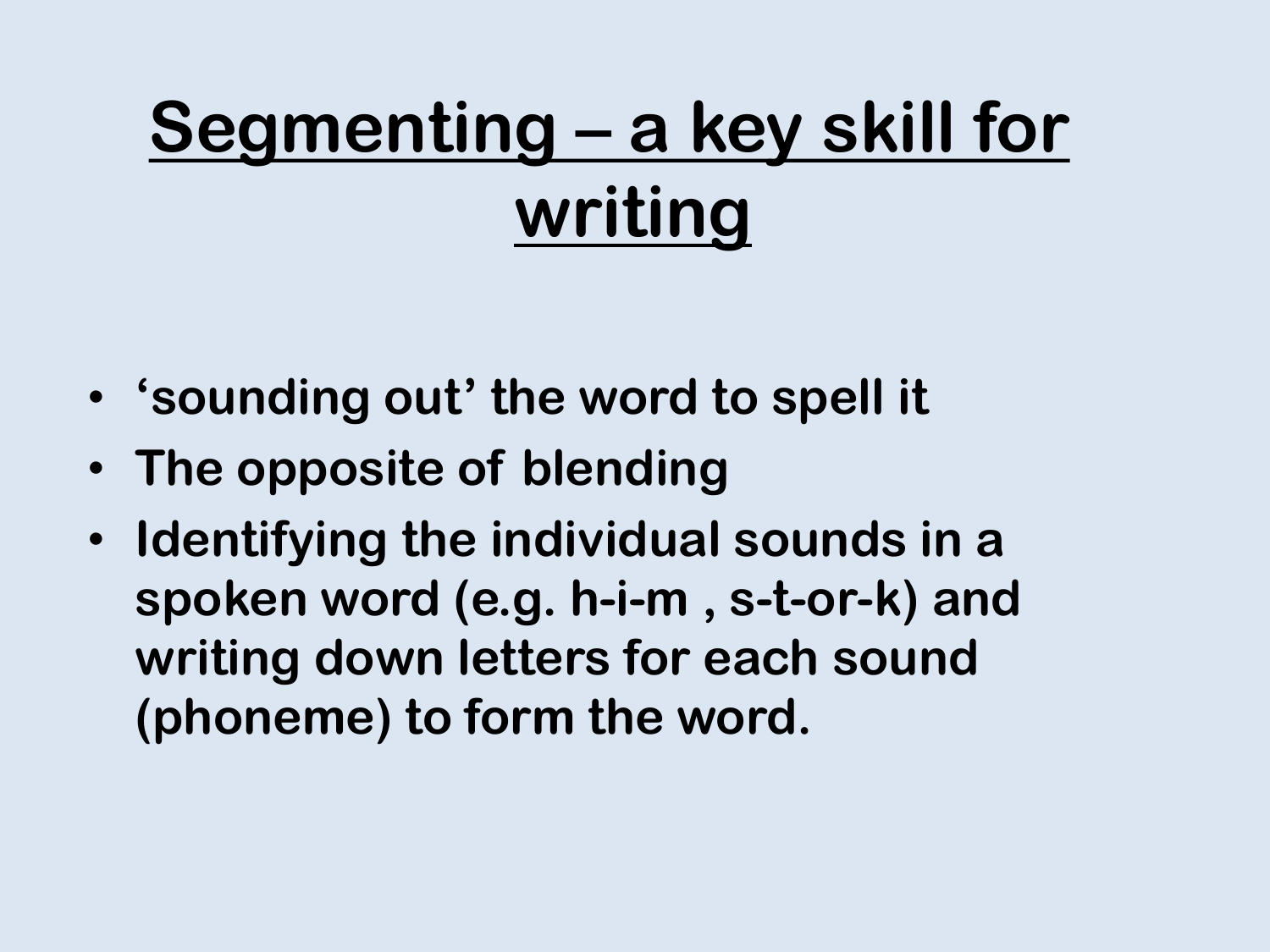## **Segmenting – a key skill for writing**

- **'sounding out' the word to spell it**
- **The opposite of blending**
- **Identifying the individual sounds in a spoken word (e.g. h-i-m , s-t-or-k) and writing down letters for each sound (phoneme) to form the word.**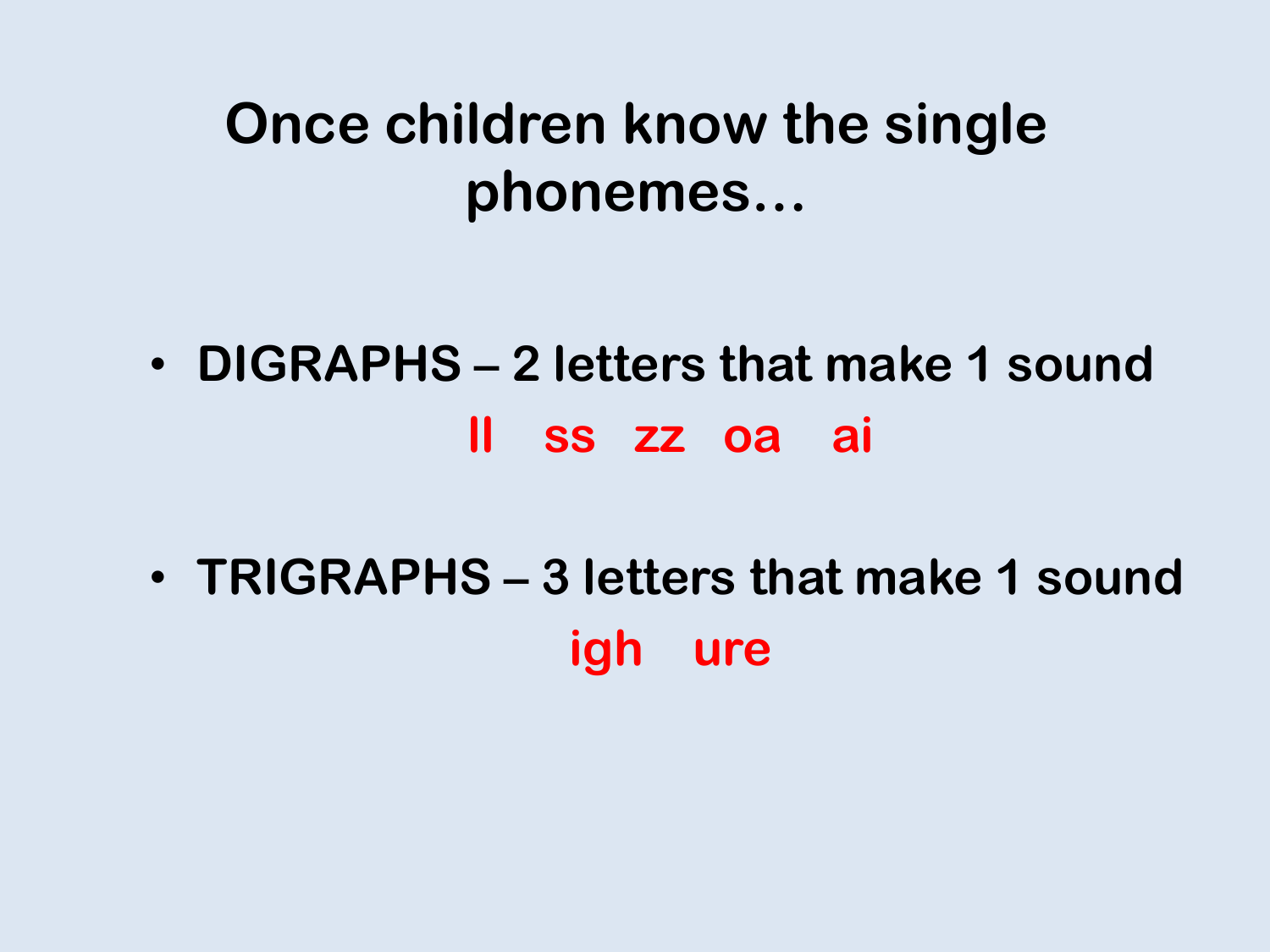### **Once children know the single phonemes…**

- **DIGRAPHS – 2 letters that make 1 sound ll ss zz oa ai**
- **TRIGRAPHS – 3 letters that make 1 sound igh ure**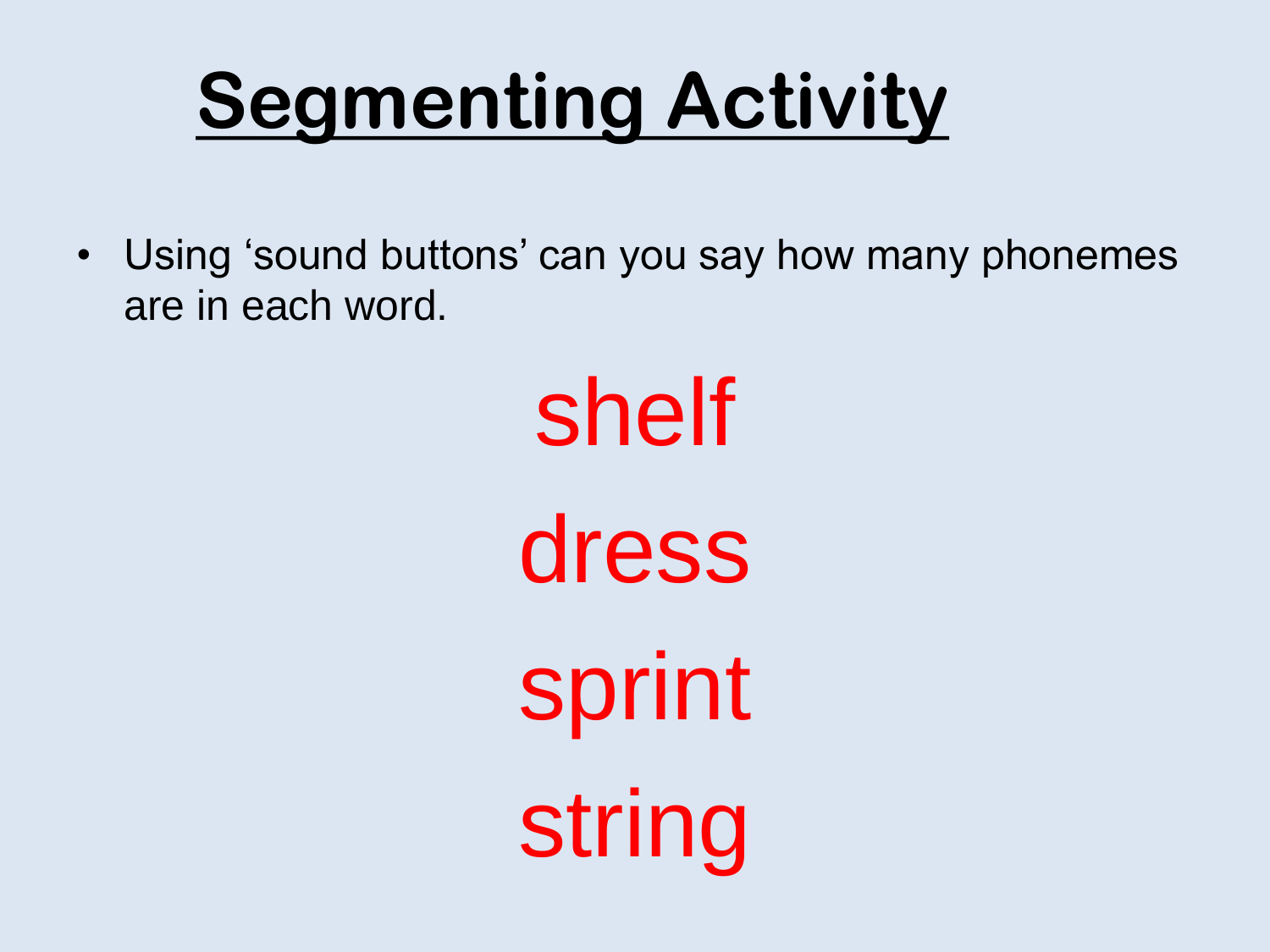## **Segmenting Activity**

• Using 'sound buttons' can you say how many phonemes are in each word.

> shelf dress sprint string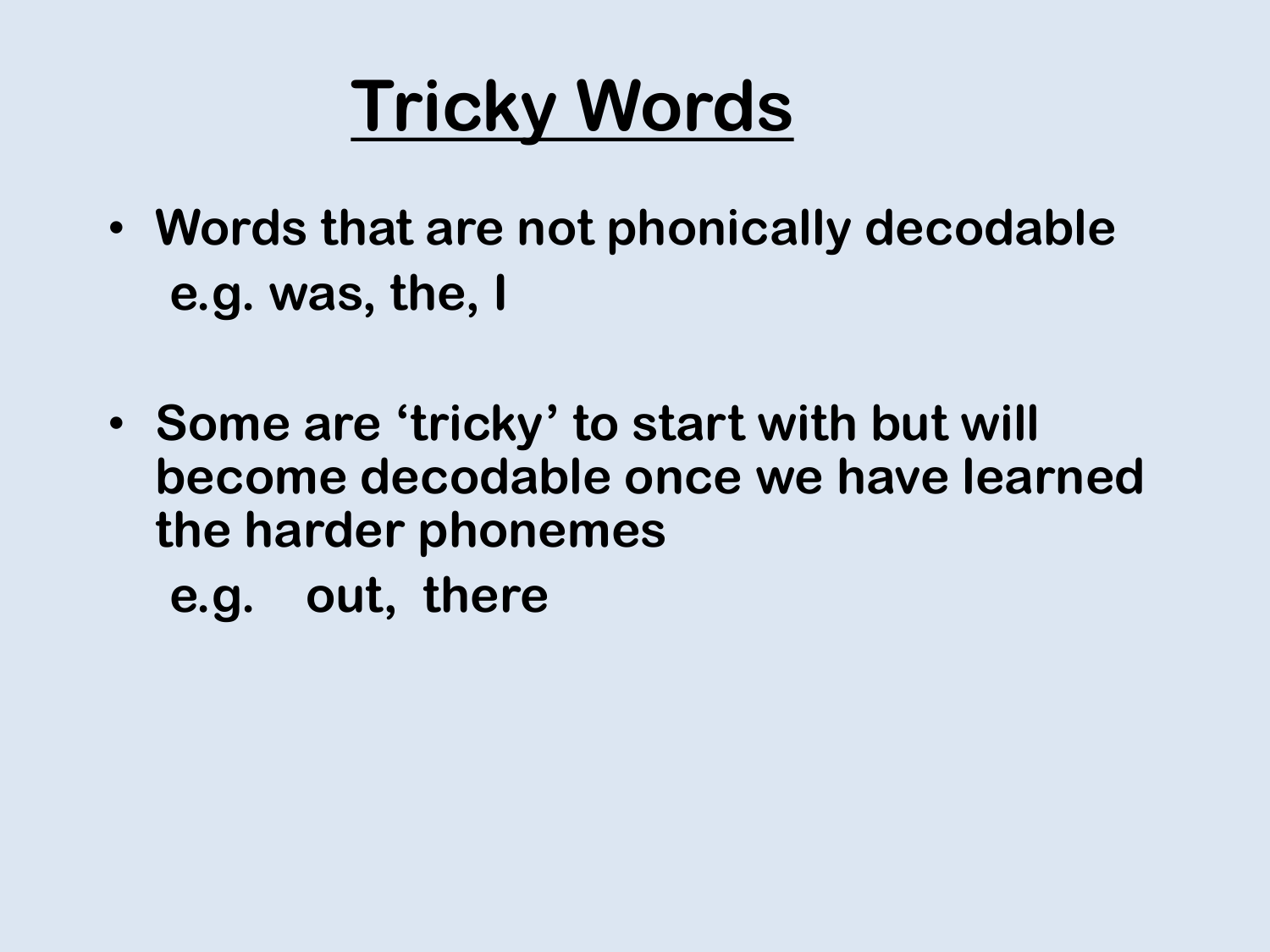## **Tricky Words**

- **Words that are not phonically decodable e.g. was, the, I**
- **Some are 'tricky' to start with but will become decodable once we have learned the harder phonemes**

**e.g. out, there**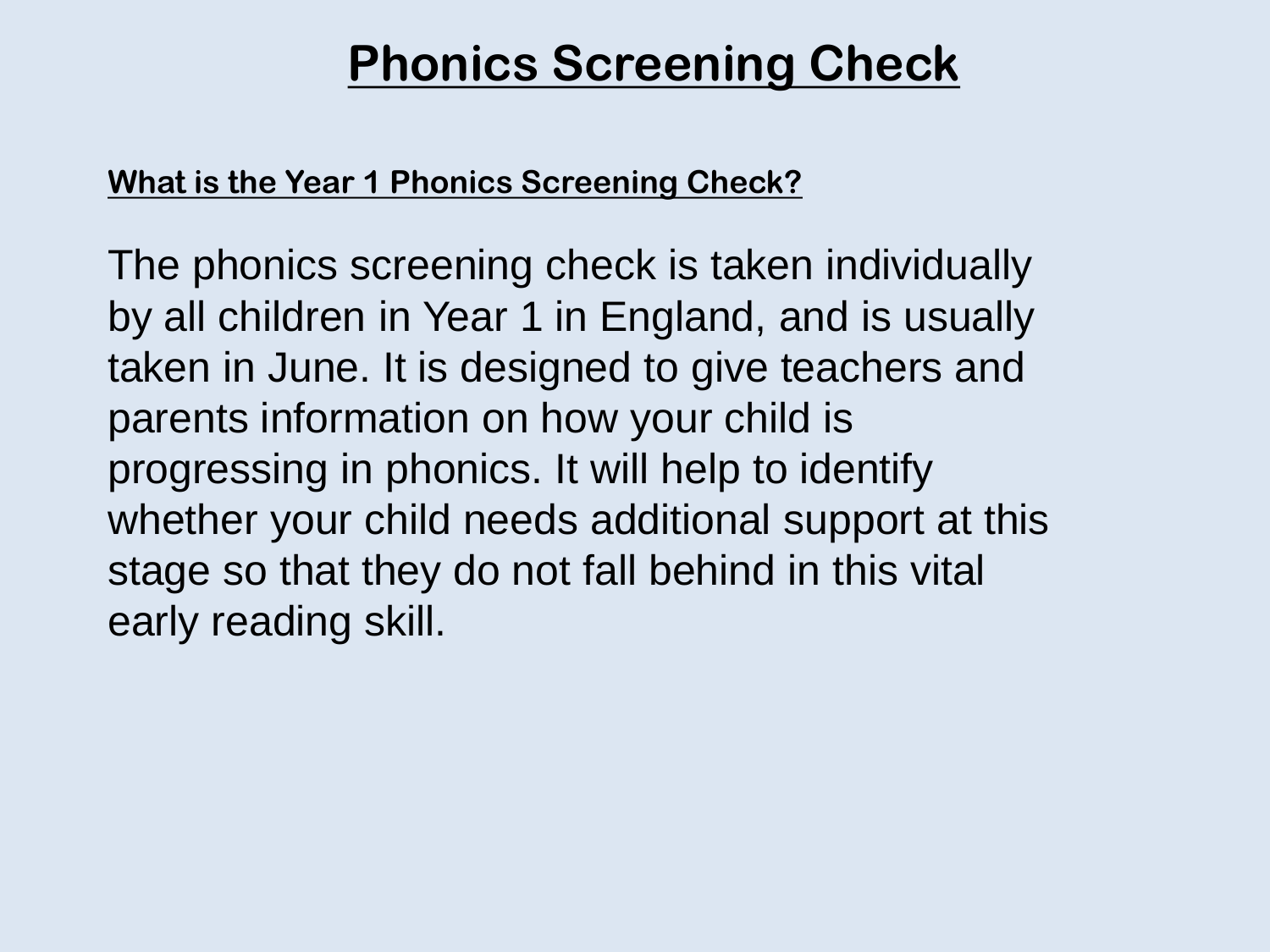#### **Phonics Screening Check**

#### **What is the Year 1 Phonics Screening Check?**

The phonics screening check is taken individually by all children in Year 1 in England, and is usually taken in June. It is designed to give teachers and parents information on how your child is progressing in phonics. It will help to identify whether your child needs additional support at this stage so that they do not fall behind in this vital early reading skill.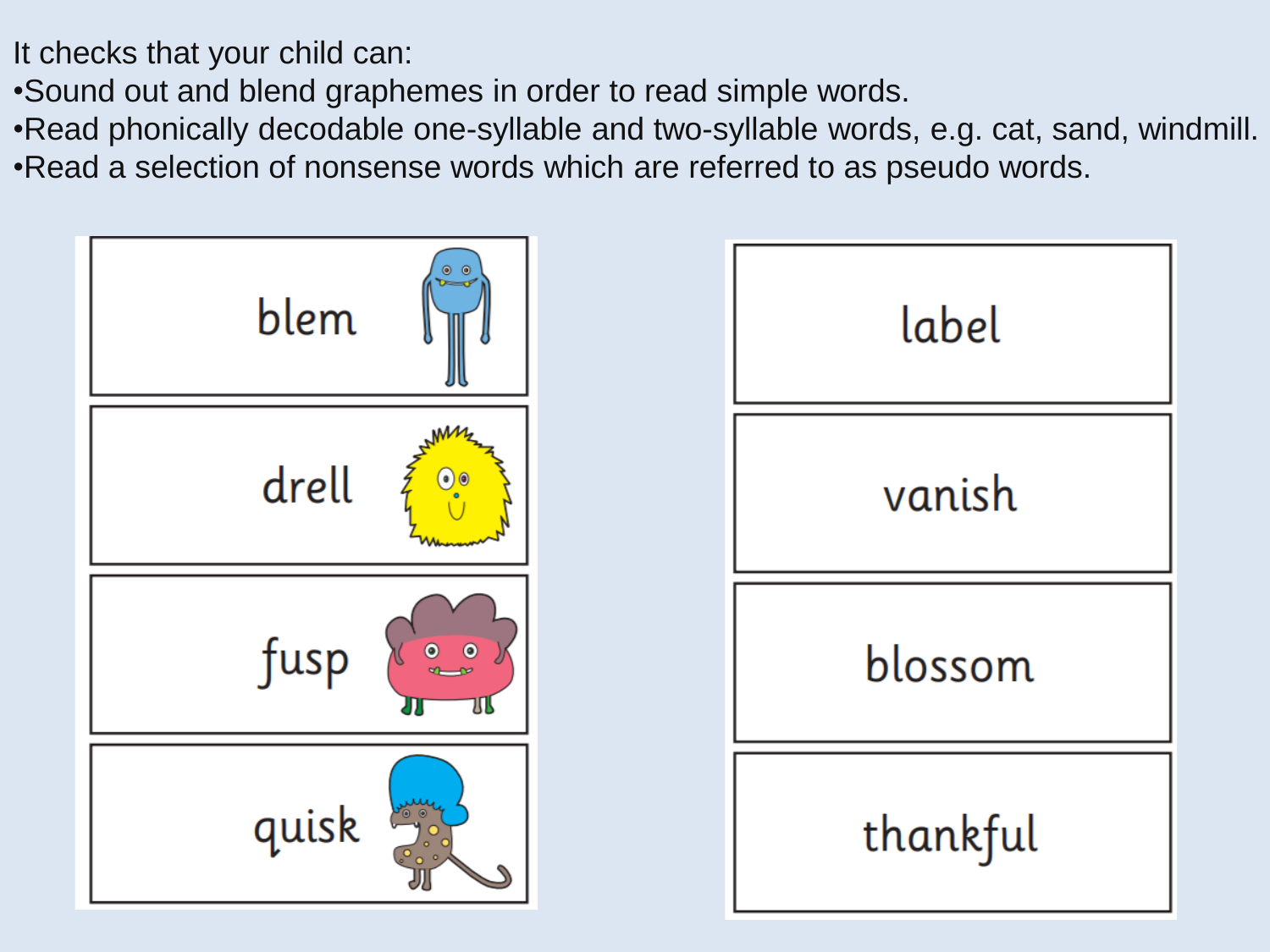It checks that your child can:

•Sound out and blend graphemes in order to read simple words.

•Read phonically decodable one-syllable and two-syllable words, e.g. cat, sand, windmill. •Read a selection of nonsense words which are referred to as pseudo words.

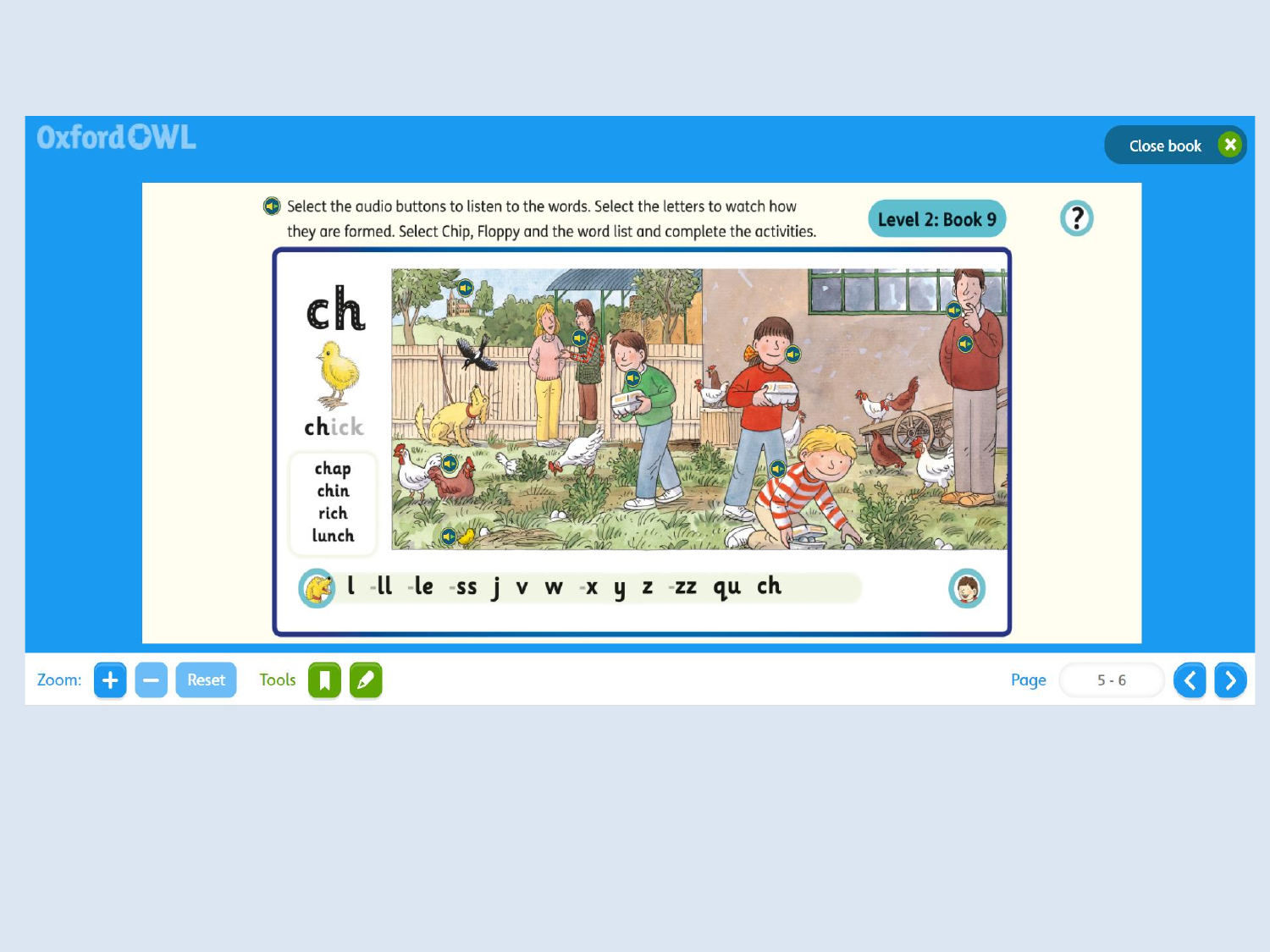#### **Oxford OWL**



Close book

 $\mathbf{x}$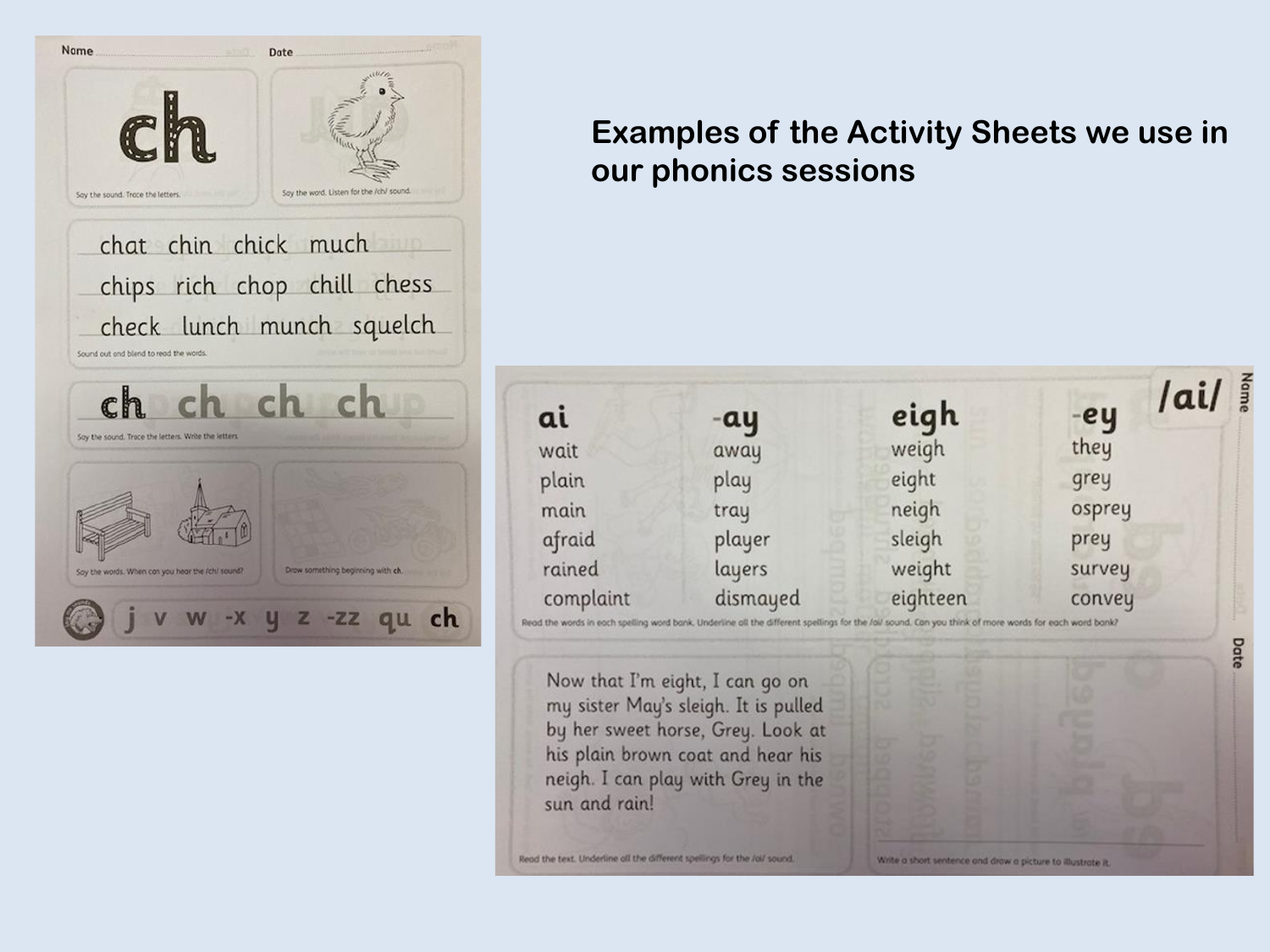

#### **Examples of the Activity Sheets we use in our phonics sessions**



Read the text. Underline all the different spellings for the Jolf sound.

Write a short sentence and draw a picture to illustrate it.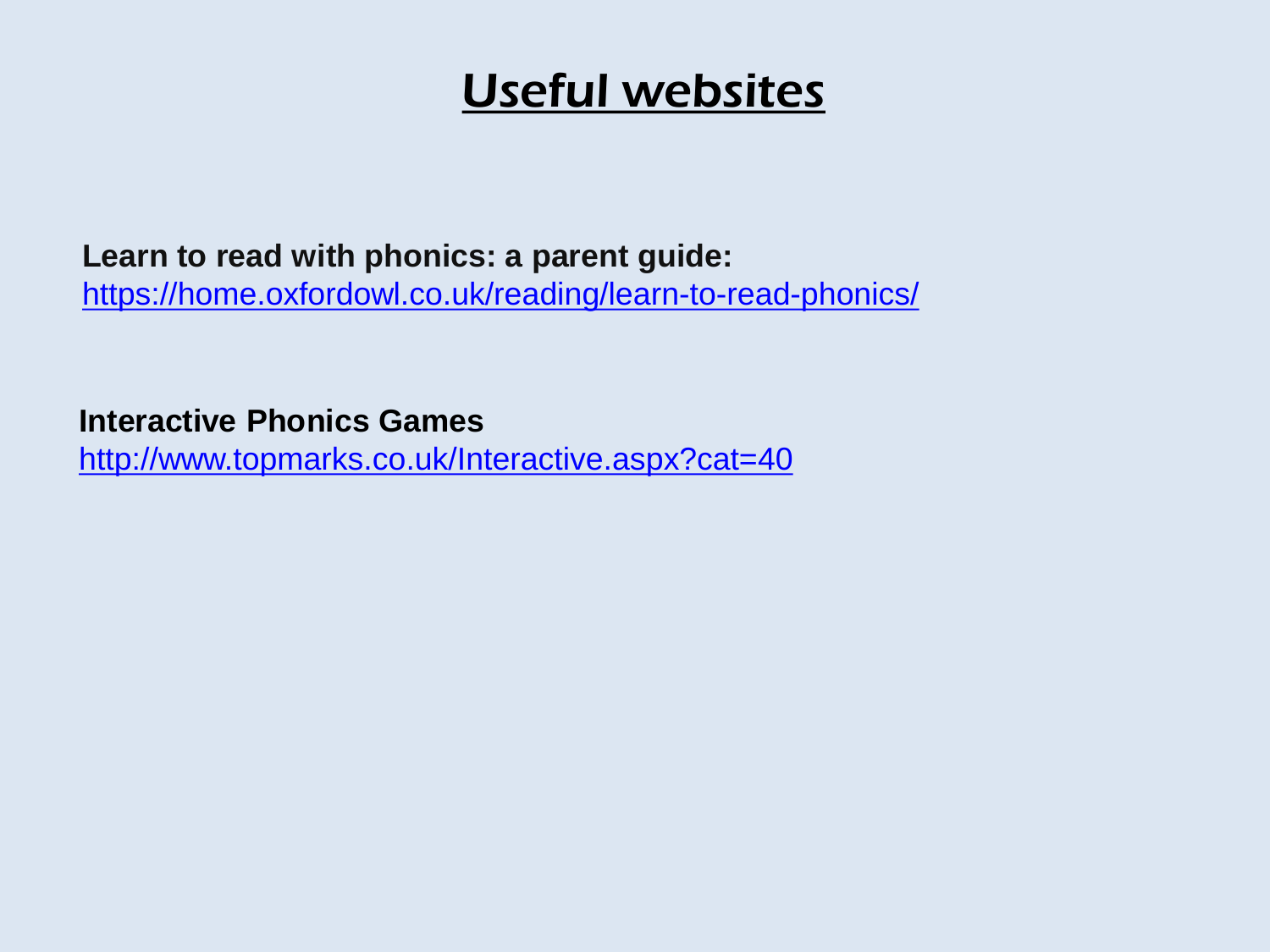#### Useful websites

**Learn to read with phonics: a parent guide:** <https://home.oxfordowl.co.uk/reading/learn-to-read-phonics/>

**Interactive Phonics Games**

<http://www.topmarks.co.uk/Interactive.aspx?cat=40>